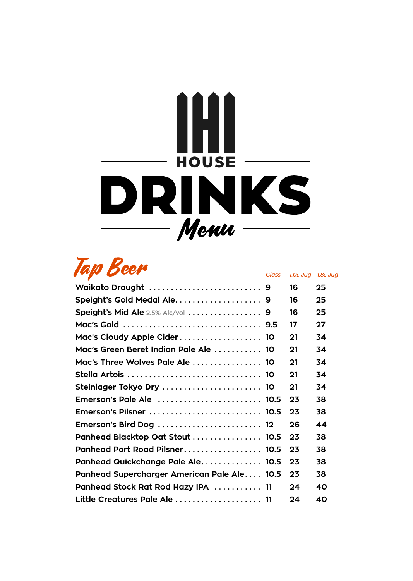

Tap Beer *Glass 1.0l Jug 1.8l Jug*

|                                                                          | 16 | 25 |
|--------------------------------------------------------------------------|----|----|
|                                                                          | 16 | 25 |
| Speight's Mid Ale $2.5\%$ Alc/vol $\ldots \ldots \ldots \ldots \ldots$ 9 | 16 | 25 |
|                                                                          | 17 | 27 |
| Mac's Cloudy Apple Cider 10                                              | 21 | 34 |
| Mac's Green Beret Indian Pale Ale  10                                    | 21 | 34 |
| Mac's Three Wolves Pale Ale  10                                          | 21 | 34 |
|                                                                          | 21 | 34 |
| Steinlager Tokyo Dry  10                                                 | 21 | 34 |
| Emerson's Pale Ale  10.5                                                 | 23 | 38 |
|                                                                          | 23 | 38 |
| Emerson's Bird Dog  12                                                   | 26 | 44 |
| Panhead Blacktop Oat Stout  10.5                                         | 23 | 38 |
| Panhead Port Road Pilsner 10.5                                           | 23 | 38 |
| Panhead Quickchange Pale Ale 10.5                                        | 23 | 38 |
| Panhead Supercharger American Pale Ale 10.5                              | 23 | 38 |
| Panhead Stock Rat Rod Hazy IPA  11                                       | 24 | 40 |
| Little Creatures Pale Ale 11                                             | 24 | 40 |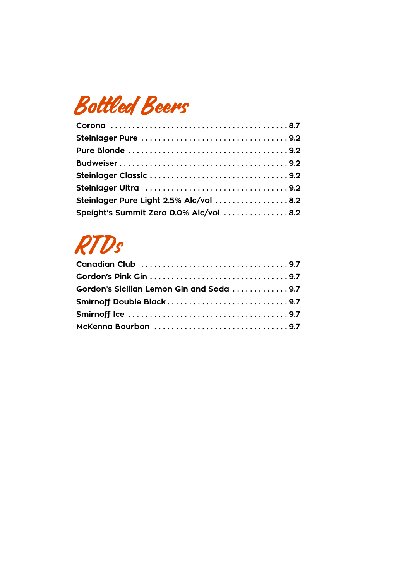# Bottled Beers

| Steinlager Pure Light 2.5% Alc/vol 8.2 |  |
|----------------------------------------|--|
| Speight's Summit Zero 0.0% Alc/vol 8.2 |  |

# **RTDs**

| Gordon's Sicilian Lemon Gin and Soda 9.7 |  |
|------------------------------------------|--|
| Smirnoff Double Black9.7                 |  |
|                                          |  |
| McKenna Bourbon 9.7                      |  |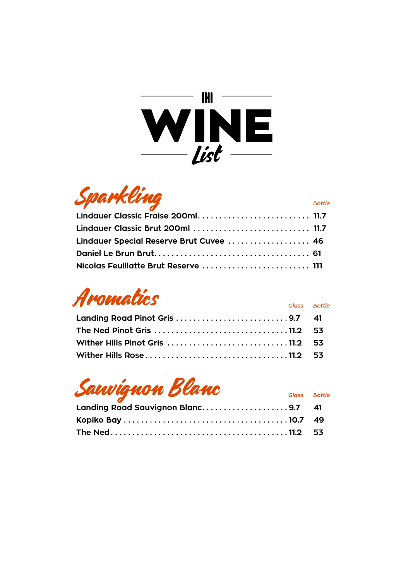



| $\mathcal{L}$ and $\mathcal{L}$ and $\mathcal{L}$ and $\mathcal{L}$ |  |  |
|---------------------------------------------------------------------|--|--|
| Lindauer Classic Fraise 200ml 11.7                                  |  |  |
| Lindauer Classic Brut 200ml  11.7                                   |  |  |
| Lindauer Special Reserve Brut Cuvee  46                             |  |  |
|                                                                     |  |  |
|                                                                     |  |  |



| Landing Road Pinot Gris 9.7 41                                                  |  |
|---------------------------------------------------------------------------------|--|
| The Ned Pinot Gris $\dots\dots\dots\dots\dots\dots\dots\dots\dots\dots$ 11.2 53 |  |
| Wither Hills Pinot Gris  11.2 53                                                |  |
|                                                                                 |  |

# Sauvignon Blanc *Glass Bottle*

| <u>and the contract of the contract of the contract of the contract of the contract of the contract of the contract of the contract of the contract of the contract of the contract of the contract of the contract of the contr</u><br>Landing Road Sauvignon Blanc9.7 41 |  |
|----------------------------------------------------------------------------------------------------------------------------------------------------------------------------------------------------------------------------------------------------------------------------|--|
|                                                                                                                                                                                                                                                                            |  |
|                                                                                                                                                                                                                                                                            |  |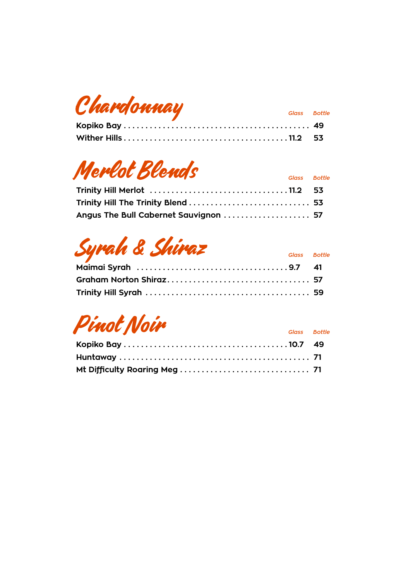| Chardonnay | Glass Bottle |  |
|------------|--------------|--|
|            |              |  |

# **Merlot Blends** *Glass Bottle*

| Angus The Bull Cabernet Sauvignon  57 |  |
|---------------------------------------|--|

# Syrah & Shiraz *Glass Bottle*

| the contract of the contract of the contract of the contract of the contract of |  |
|---------------------------------------------------------------------------------|--|
|                                                                                 |  |
|                                                                                 |  |

Pinot Noir *Glass Bottle*

| $\overline{a}$ , and the same state $\overline{a}$ | Glass Bottle |  |
|----------------------------------------------------|--------------|--|
|                                                    |              |  |
|                                                    |              |  |
|                                                    |              |  |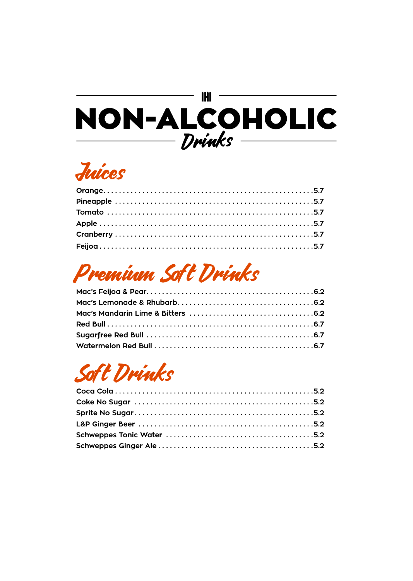## **IHI** NON-ALCOHOLIC Drinks

# Juices

# Premium Soft Drinks

# Soft Drinks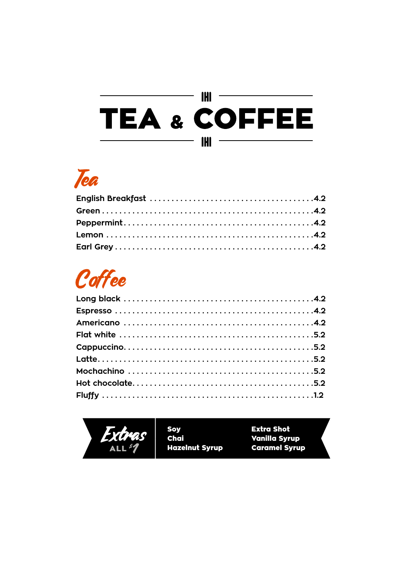### $-\mathbf{m}$ **TEA & COFFEE IHI** —

# Tea

# Coffee



Soy<br>Chai **Hazelnut Syrup**  **Extra Shot Vanilla Syrup Caramel Syrup**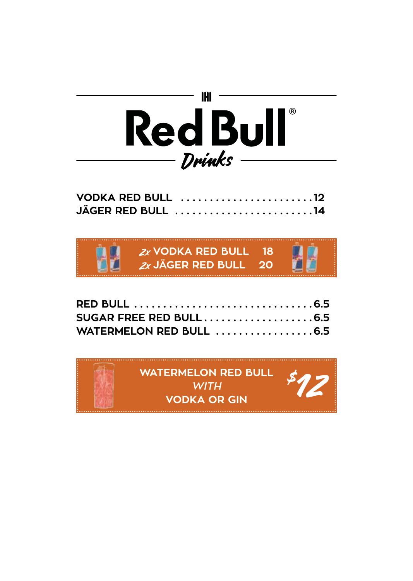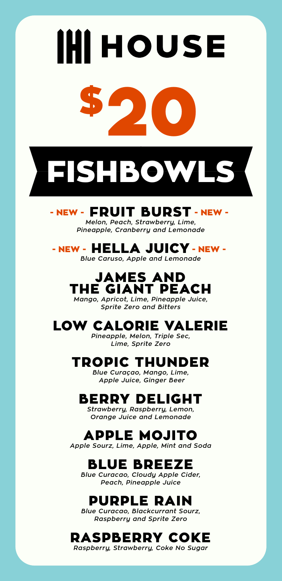# **IHI HOUSE** \$20



## - NEW - FRUIT BURST - NEW -

*Melon, Peach, Strawberry, Lime, Pineapple, Cranberry and Lemonade* 

## - NEW - HELLA JUICY - NEW -

*Blue Caruso, Apple and Lemonade*

## JAMES AND THE GIANT PEACH

*Mango, Apricot, Lime, Pineapple Juice, Sprite Zero and Bitters*

## LOW CALORIE VALERIE

*Pineapple, Melon, Triple Sec, Lime, Sprite Zero*

## TROPIC THUNDER

*Blue Curaçao, Mango, Lime, Apple Juice, Ginger Beer*

### BERRY DELIGHT

*Strawberry, Raspberry, Lemon, Orange Juice and Lemonade*

## APPLE MOJITO

*Apple Sourz, Lime, Apple, Mint and Soda*

## BLUE BREEZE

*Blue Curacao, Cloudy Apple Cider, Peach, Pineapple Juice*

## PURPLE RAIN

*Blue Curacao, Blackcurrant Sourz, Raspberry and Sprite Zero*

## RASPBERRY COKE

*Raspberry, Strawberry, Coke No Sugar*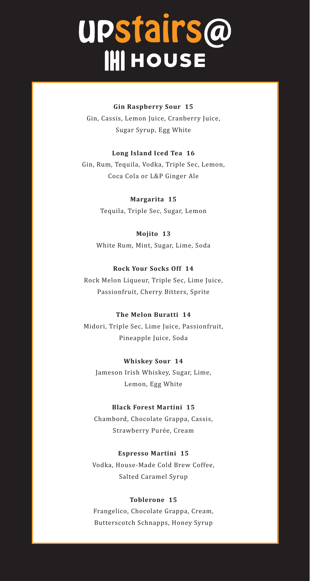# UPStairs@<br>IHI HOUSE

### **Gin Raspberry Sour 15**

Gin, Cassis, Lemon Juice, Cranberry Juice, Sugar Syrup, Egg White

### **Long Island Iced Tea 16**

Gin, Rum, Tequila, Vodka, Triple Sec, Lemon, Coca Cola or L&P Ginger Ale

> **Margarita 15** Tequila, Triple Sec, Sugar, Lemon

### **Mojito 13**

White Rum, Mint, Sugar, Lime, Soda

### **Rock Your Socks Off 14**

Rock Melon Liqueur, Triple Sec, Lime Juice, Passionfruit, Cherry Bitters, Sprite

### **The Melon Buratti 14**

Midori, Triple Sec, Lime Juice, Passionfruit, Pineapple Juice, Soda

### **Whiskey Sour 14**

Jameson Irish Whiskey, Sugar, Lime, Lemon, Egg White

### **Black Forest Martini 15**

Chambord, Chocolate Grappa, Cassis, Strawberry Purée, Cream

### **Espresso Martini 15**

Vodka, House-Made Cold Brew Coffee, Salted Caramel Syrup

### **Toblerone 15**

Frangelico, Chocolate Grappa, Cream, Butterscotch Schnapps, Honey Syrup